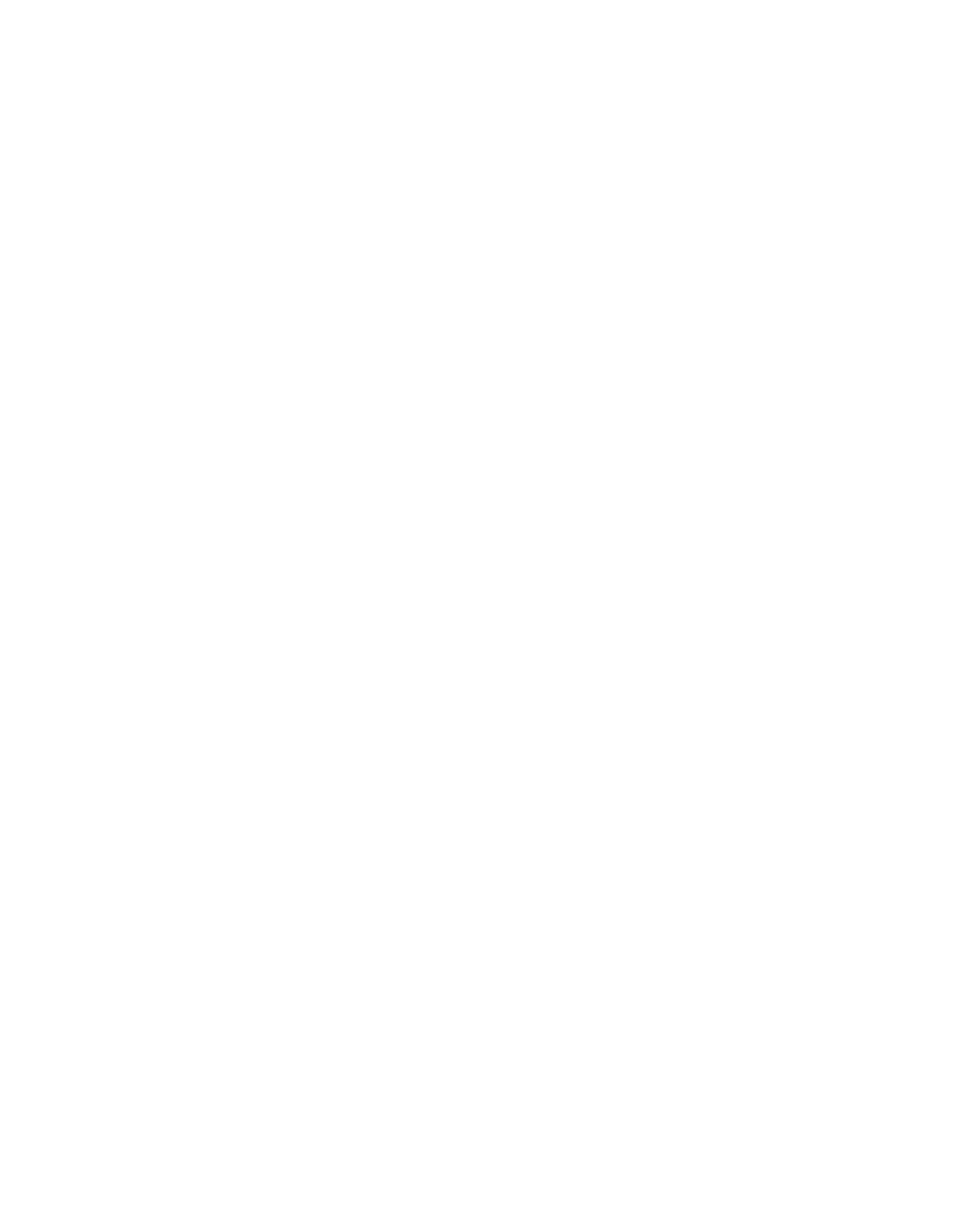**AN ORDER OF THE COMMISSIONERS COURT OF HOCKLEY COUNTY, TEXAS: (1) APPROVING AND ADOPTING THE HOCKLEY COUNTY, TEXAS GUIDELINES AND CRITERIA FOR TAX ABATEMENT AND OTHER ECONOMIC DEVELOPMENT; (2) APPROVING COUNTY ELIGIBILITY TO PARTICIPATE IN TAX ABATEMENT AND OTHER ECONOMIC DEVELOPMENT; AND (3) ESTABLISHING AN EFFECTIVE DATE AND COMPLIANCE WITH THE TEXAS OPEN MEETING ACT.**

**WHEREAS**, Hockley County, Texas ("County") is a county of the State of Texas, having been duly created and organized under the constitution and laws of Texas, and further, the Hockley County Commissioners Court ("Commissioners Court") is the governing body of the County; and

**WHEREAS**, pursuant to Article V, Section 18 of the Texas Constitution, Chapter 381 of the Texas Local Government Code ("Chapter 381"), and Chapter 312 of the Texas Tax Code ("Chapter 312") and other authority, the County may participate in tax abatement agreements and other authorized economic development activities as part of economic development programs designed to stimulate economic development and business and commercial activity in Hockley County, Texas; and

**WHEREAS**, pursuant to Chapters 381 and 312, and the exercise of its lawful authority, discretion, and best business judgment, the Commissioners Court desires by this order to (1) approve, adopt, and implement the **Hockley County, Texas Guidelines and Criteria for Tax Abatement and Other Economic Development** ("Guidelines"), in the form and scope attached as **Exhibit 1**, to stimulate economic development and business and commercial activity in Hockley County, Texas, and (2) approve County eligibility to participate in tax abatement and other economic development as allowed by law; and

**WHEREAS**, the Commissioners Court declares that the successful enactment and implementation of the Guidelines, as described in **Exhibit 1**, shall achieve or substantially accomplish all public purposes described in the Guidelines and this order; and

**NOW, THEREFORE, BE IT RESOLVED AND ORDERED** by the Commissioners Court of Hockley County, Texas, for and on behalf of said County and in the public interest, as follows:

(1) Unless otherwise designated, the past, present, or future tense shall each include the other, the masculine, feminine, or neuter gender shall each include the other, and the singular and plural number shall each include the other where necessary for a correct meaning.

**Order Approving Hockley County, Texas Guidelines and Criteria for Tax Abatement and Other Economic Development; Effective Date: June 20, 2022**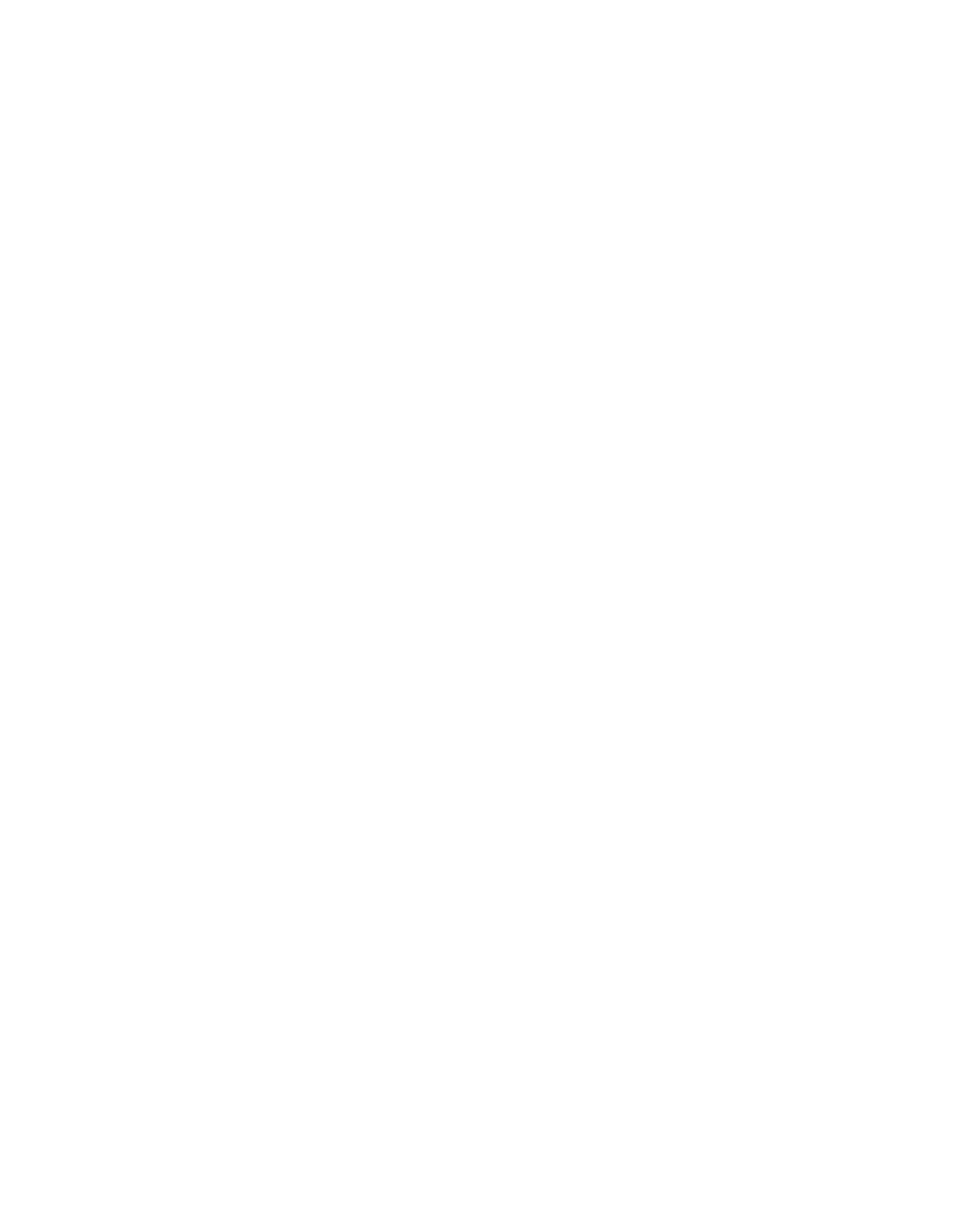- (2) All statements made in the caption, preamble, and preliminary recitals of this instrument, and all attached documents, are incorporated by reference.
- (3) The Commissioners Court hereby approves and adopts, and shall implement, the **Hockley County, Texas Guidelines and Criteria for Tax Abatement and Other Economic Development** in the form and scope attached as **Exhibit 1**, in order to stimulate economic development and business and commercial activity in Hockley County, Texas.
- (4) All prior enacted County guidelines and criteria for tax abatement and other economic development are rescinded, replaced, and superseded by the Guidelines attached as **Exhibit 1**.
- (5) Pursuant to the authority described in this order, the Commissioners Court: (a) elects for Hockley County to become eligible to participate in tax abatement and other economic development; and (b) declares the intent of Hockley County to participate in tax abatement agreements and other economic development agreements, from time to time, through the exercise of the lawful authority, discretion, and best business judgment of the Commissioners Court in order to stimulate economic development and business and commercial activity in Hockley County, Texas.
- (6) All conditions precedent for the lawful approval and adoption of the Guidelines have been accomplished as required by law, including the performance of all required public notice and the holding of a required public hearing.
- (7) This order shall take effect immediately from and after its passage.
- (8) This matter was ordered, approved, and adopted at a meeting held in compliance with Chapter 551 of the Texas Government Code, the Texas Open Meetings Act.

**ORDERED, APPROVED, AND ADOPTED** on the 20<sup>th</sup> day of June, 2022.

## **THE COMMISSIONERS COURT OF HOCKLEY COUNTY, TEXAS**

\_\_\_\_\_\_\_\_\_\_\_\_\_\_\_\_\_\_\_\_\_\_\_\_\_\_\_\_\_\_

County Judge Hockley County, Texas

**Order Approving Hockley County, Texas Guidelines and Criteria for Tax Abatement and Other Economic Development; Effective Date: June 20, 2022**